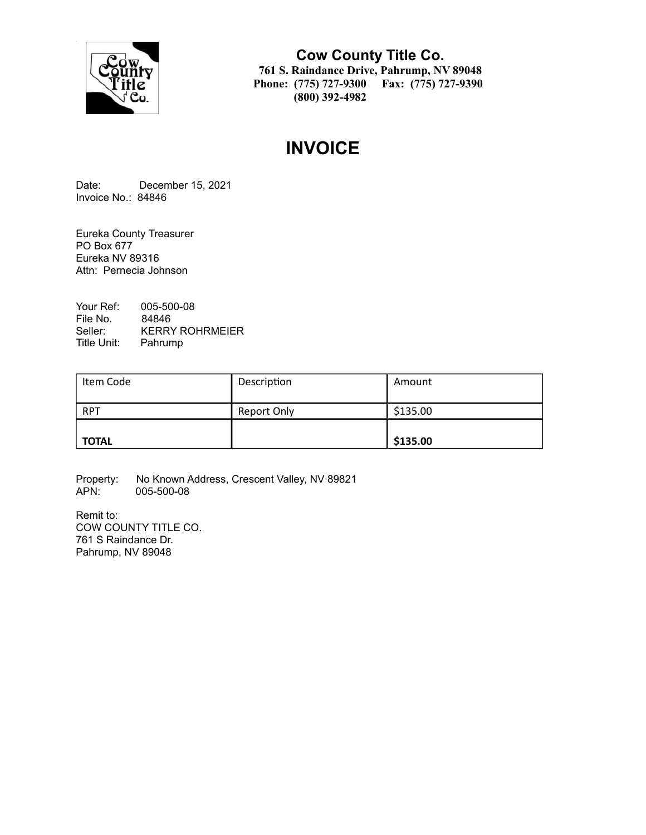

**Cow County Title Co. 761 S. Raindance Drive, Pahrump, NV 89048 Phone: (775) 727-9300 Fax: (775) 727-9390 (800) 392-4982**

# **INVOICE**

Date: December 15, 2021 Invoice No.: 84846

Eureka County Treasurer PO Box 677 Eureka NV 89316 Attn: Pernecia Johnson

Your Ref: 005-500-08 File No. 84846<br>Seller: KERRY KERRY ROHRMEIER Title Unit: Pahrump

| Item Code    | Description        | Amount   |
|--------------|--------------------|----------|
| <b>RPT</b>   | <b>Report Only</b> | \$135.00 |
| <b>TOTAL</b> |                    | \$135.00 |

Property: No Known Address, Crescent Valley, NV 89821<br>APN: 005-500-08 005-500-08

Remit to: COW COUNTY TITLE CO. 761 S Raindance Dr. Pahrump, NV 89048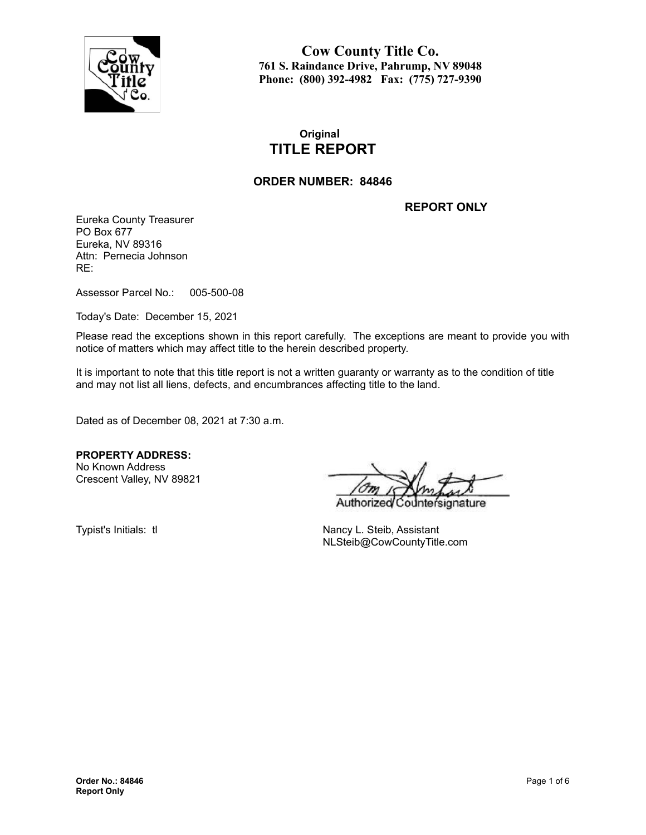

**Cow County Title Co. 761 S. Raindance Drive, Pahrump, NV 89048 Phone: (800) 392-4982 Fax: (775) 727-9390**

# **Original TITLE REPORT**

### **ORDER NUMBER: 84846**

**REPORT ONLY**

Eureka County Treasurer PO Box 677 Eureka, NV 89316 Attn: Pernecia Johnson RE:

Assessor Parcel No.: 005-500-08

Today's Date: December 15, 2021

Please read the exceptions shown in this report carefully. The exceptions are meant to provide you with notice of matters which may affect title to the herein described property.

It is important to note that this title report is not a written guaranty or warranty as to the condition of title and may not list all liens, defects, and encumbrances affecting title to the land.

Dated as of December 08, 2021 at 7:30 a.m.

**PROPERTY ADDRESS:** No Known Address

Crescent Valley, NV 89821

Authorize nature

Typist's Initials: tl Nancy L. Steib, Assistant NLSteib@CowCountyTitle.com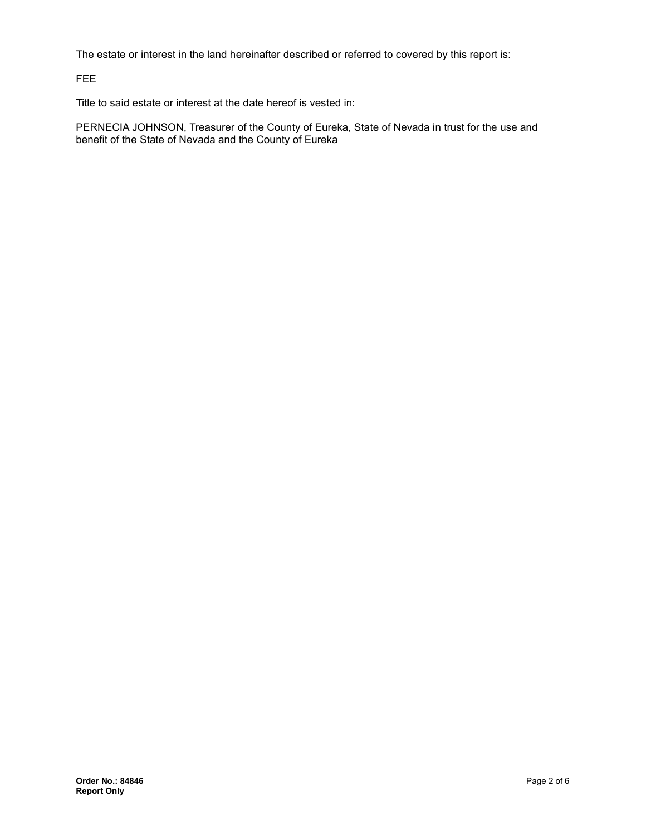The estate or interest in the land hereinafter described or referred to covered by this report is:

FEE

Title to said estate or interest at the date hereof is vested in:

PERNECIA JOHNSON, Treasurer of the County of Eureka, State of Nevada in trust for the use and benefit of the State of Nevada and the County of Eureka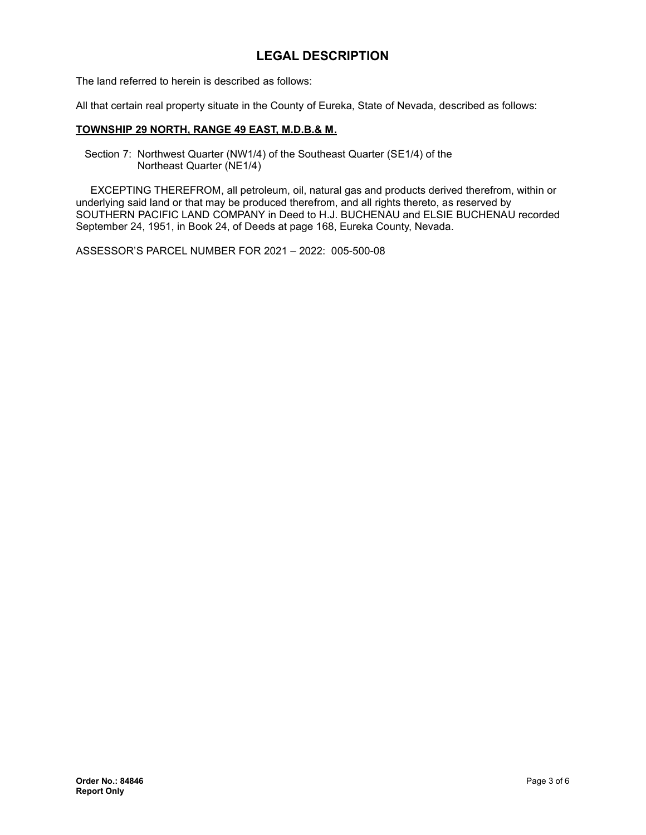# **LEGAL DESCRIPTION**

The land referred to herein is described as follows:

All that certain real property situate in the County of Eureka, State of Nevada, described as follows:

#### **TOWNSHIP 29 NORTH, RANGE 49 EAST, M.D.B.& M.**

Section 7: Northwest Quarter (NW1/4) of the Southeast Quarter (SE1/4) of the Northeast Quarter (NE1/4)

EXCEPTING THEREFROM, all petroleum, oil, natural gas and products derived therefrom, within or underlying said land or that may be produced therefrom, and all rights thereto, as reserved by SOUTHERN PACIFIC LAND COMPANY in Deed to H.J. BUCHENAU and ELSIE BUCHENAU recorded September 24, 1951, in Book 24, of Deeds at page 168, Eureka County, Nevada.

ASSESSOR'S PARCEL NUMBER FOR 2021 – 2022: 005-500-08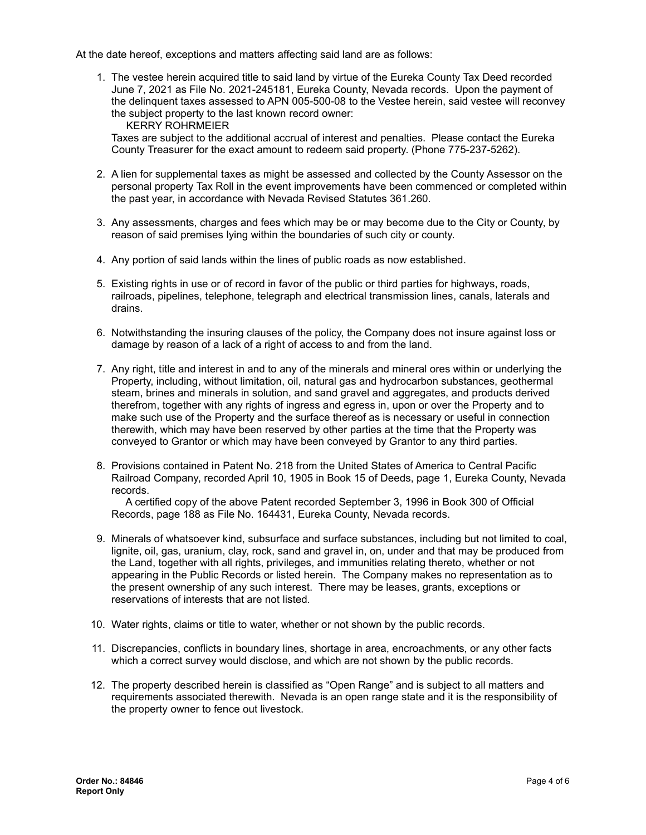At the date hereof, exceptions and matters affecting said land are as follows:

1. The vestee herein acquired title to said land by virtue of the Eureka County Tax Deed recorded June 7, 2021 as File No. 2021-245181, Eureka County, Nevada records. Upon the payment of the delinquent taxes assessed to APN 005-500-08 to the Vestee herein, said vestee will reconvey the subject property to the last known record owner:

KERRY ROHRMEIER

Taxes are subject to the additional accrual of interest and penalties. Please contact the Eureka County Treasurer for the exact amount to redeem said property. (Phone 775-237-5262).

- 2. A lien for supplemental taxes as might be assessed and collected by the County Assessor on the personal property Tax Roll in the event improvements have been commenced or completed within the past year, in accordance with Nevada Revised Statutes 361.260.
- 3. Any assessments, charges and fees which may be or may become due to the City or County, by reason of said premises lying within the boundaries of such city or county.
- 4. Any portion of said lands within the lines of public roads as now established.
- 5. Existing rights in use or of record in favor of the public or third parties for highways, roads, railroads, pipelines, telephone, telegraph and electrical transmission lines, canals, laterals and drains.
- 6. Notwithstanding the insuring clauses of the policy, the Company does not insure against loss or damage by reason of a lack of a right of access to and from the land.
- 7. Any right, title and interest in and to any of the minerals and mineral ores within or underlying the Property, including, without limitation, oil, natural gas and hydrocarbon substances, geothermal steam, brines and minerals in solution, and sand gravel and aggregates, and products derived therefrom, together with any rights of ingress and egress in, upon or over the Property and to make such use of the Property and the surface thereof as is necessary or useful in connection therewith, which may have been reserved by other parties at the time that the Property was conveyed to Grantor or which may have been conveyed by Grantor to any third parties.
- 8. Provisions contained in Patent No. 218 from the United States of America to Central Pacific Railroad Company, recorded April 10, 1905 in Book 15 of Deeds, page 1, Eureka County, Nevada records.

A certified copy of the above Patent recorded September 3, 1996 in Book 300 of Official Records, page 188 as File No. 164431, Eureka County, Nevada records.

- 9. Minerals of whatsoever kind, subsurface and surface substances, including but not limited to coal, lignite, oil, gas, uranium, clay, rock, sand and gravel in, on, under and that may be produced from the Land, together with all rights, privileges, and immunities relating thereto, whether or not appearing in the Public Records or listed herein. The Company makes no representation as to the present ownership of any such interest. There may be leases, grants, exceptions or reservations of interests that are not listed.
- 10. Water rights, claims or title to water, whether or not shown by the public records.
- 11. Discrepancies, conflicts in boundary lines, shortage in area, encroachments, or any other facts which a correct survey would disclose, and which are not shown by the public records.
- 12. The property described herein is classified as "Open Range" and is subject to all matters and requirements associated therewith. Nevada is an open range state and it is the responsibility of the property owner to fence out livestock.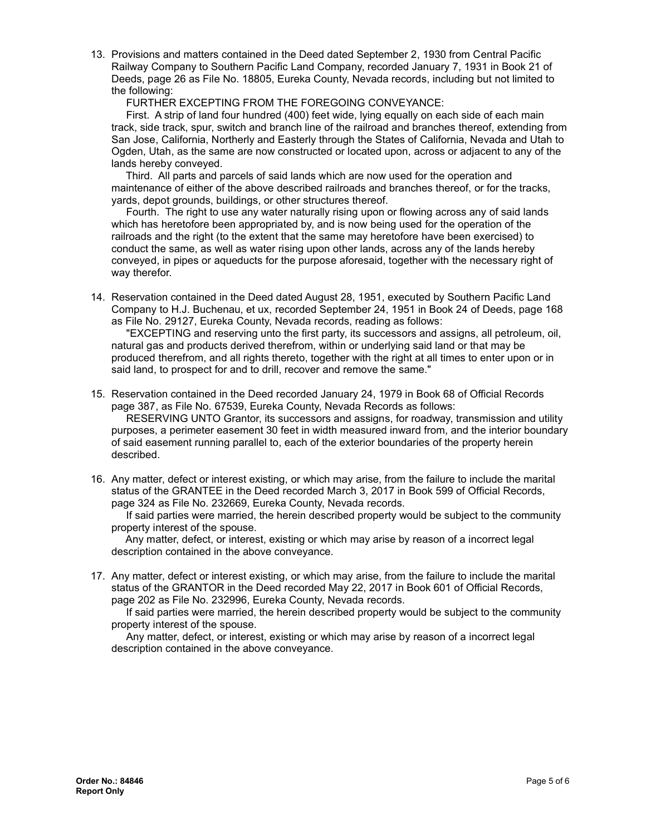13. Provisions and matters contained in the Deed dated September 2, 1930 from Central Pacific Railway Company to Southern Pacific Land Company, recorded January 7, 1931 in Book 21 of Deeds, page 26 as File No. 18805, Eureka County, Nevada records, including but not limited to the following:

FURTHER EXCEPTING FROM THE FOREGOING CONVEYANCE:

First. A strip of land four hundred (400) feet wide, lying equally on each side of each main track, side track, spur, switch and branch line of the railroad and branches thereof, extending from San Jose, California, Northerly and Easterly through the States of California, Nevada and Utah to Ogden, Utah, as the same are now constructed or located upon, across or adjacent to any of the lands hereby conveyed.

Third. All parts and parcels of said lands which are now used for the operation and maintenance of either of the above described railroads and branches thereof, or for the tracks, yards, depot grounds, buildings, or other structures thereof.

Fourth. The right to use any water naturally rising upon or flowing across any of said lands which has heretofore been appropriated by, and is now being used for the operation of the railroads and the right (to the extent that the same may heretofore have been exercised) to conduct the same, as well as water rising upon other lands, across any of the lands hereby conveyed, in pipes or aqueducts for the purpose aforesaid, together with the necessary right of way therefor.

14. Reservation contained in the Deed dated August 28, 1951, executed by Southern Pacific Land Company to H.J. Buchenau, et ux, recorded September 24, 1951 in Book 24 of Deeds, page 168 as File No. 29127, Eureka County, Nevada records, reading as follows:

"EXCEPTING and reserving unto the first party, its successors and assigns, all petroleum, oil, natural gas and products derived therefrom, within or underlying said land or that may be produced therefrom, and all rights thereto, together with the right at all times to enter upon or in said land, to prospect for and to drill, recover and remove the same."

15. Reservation contained in the Deed recorded January 24, 1979 in Book 68 of Official Records page 387, as File No. 67539, Eureka County, Nevada Records as follows:

RESERVING UNTO Grantor, its successors and assigns, for roadway, transmission and utility purposes, a perimeter easement 30 feet in width measured inward from, and the interior boundary of said easement running parallel to, each of the exterior boundaries of the property herein described.

16. Any matter, defect or interest existing, or which may arise, from the failure to include the marital status of the GRANTEE in the Deed recorded March 3, 2017 in Book 599 of Official Records, page 324 as File No. 232669, Eureka County, Nevada records.

If said parties were married, the herein described property would be subject to the community property interest of the spouse.

Any matter, defect, or interest, existing or which may arise by reason of a incorrect legal description contained in the above conveyance.

17. Any matter, defect or interest existing, or which may arise, from the failure to include the marital status of the GRANTOR in the Deed recorded May 22, 2017 in Book 601 of Official Records, page 202 as File No. 232996, Eureka County, Nevada records.

If said parties were married, the herein described property would be subject to the community property interest of the spouse.

Any matter, defect, or interest, existing or which may arise by reason of a incorrect legal description contained in the above conveyance.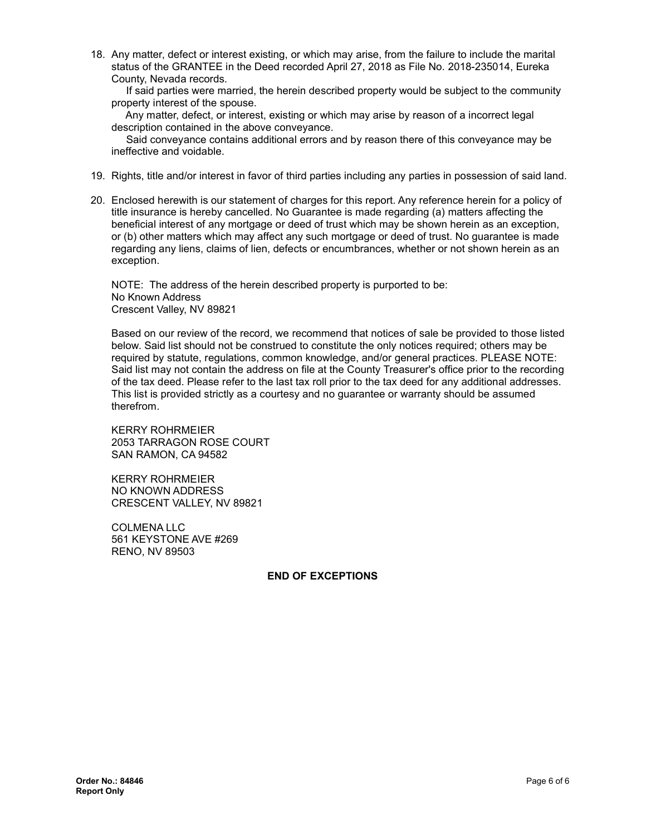18. Any matter, defect or interest existing, or which may arise, from the failure to include the marital status of the GRANTEE in the Deed recorded April 27, 2018 as File No. 2018-235014, Eureka County, Nevada records.

If said parties were married, the herein described property would be subject to the community property interest of the spouse.

Any matter, defect, or interest, existing or which may arise by reason of a incorrect legal description contained in the above conveyance.

Said conveyance contains additional errors and by reason there of this conveyance may be ineffective and voidable.

- 19. Rights, title and/or interest in favor of third parties including any parties in possession of said land.
- 20. Enclosed herewith is our statement of charges for this report. Any reference herein for a policy of title insurance is hereby cancelled. No Guarantee is made regarding (a) matters affecting the beneficial interest of any mortgage or deed of trust which may be shown herein as an exception, or (b) other matters which may affect any such mortgage or deed of trust. No guarantee is made regarding any liens, claims of lien, defects or encumbrances, whether or not shown herein as an exception.

NOTE: The address of the herein described property is purported to be: No Known Address Crescent Valley, NV 89821

Based on our review of the record, we recommend that notices of sale be provided to those listed below. Said list should not be construed to constitute the only notices required; others may be required by statute, regulations, common knowledge, and/or general practices. PLEASE NOTE: Said list may not contain the address on file at the County Treasurer's office prior to the recording of the tax deed. Please refer to the last tax roll prior to the tax deed for any additional addresses. This list is provided strictly as a courtesy and no guarantee or warranty should be assumed therefrom.

KERRY ROHRMEIER 2053 TARRAGON ROSE COURT SAN RAMON, CA 94582

KERRY ROHRMEIER NO KNOWN ADDRESS CRESCENT VALLEY, NV 89821

COLMENA LLC 561 KEYSTONE AVE #269 RENO, NV 89503

#### **END OF EXCEPTIONS**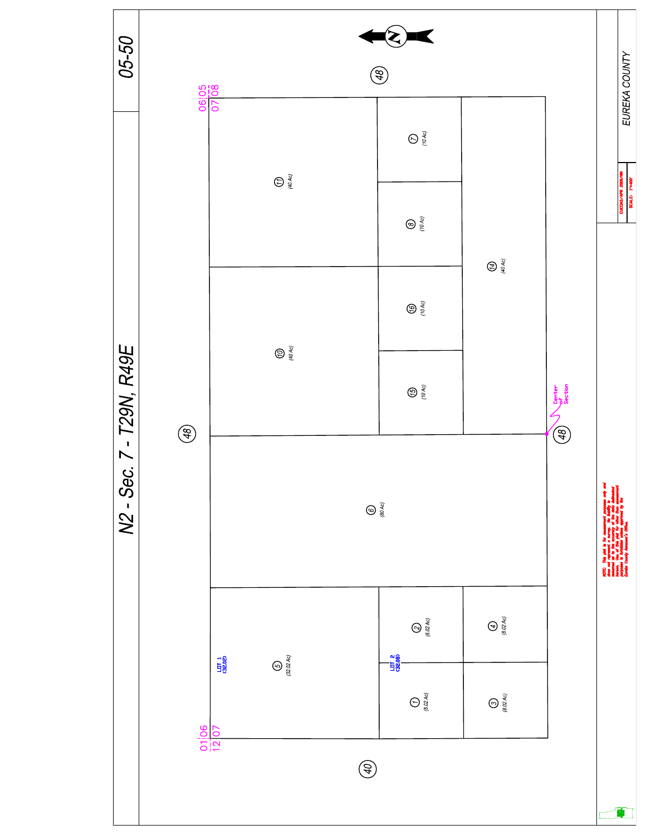